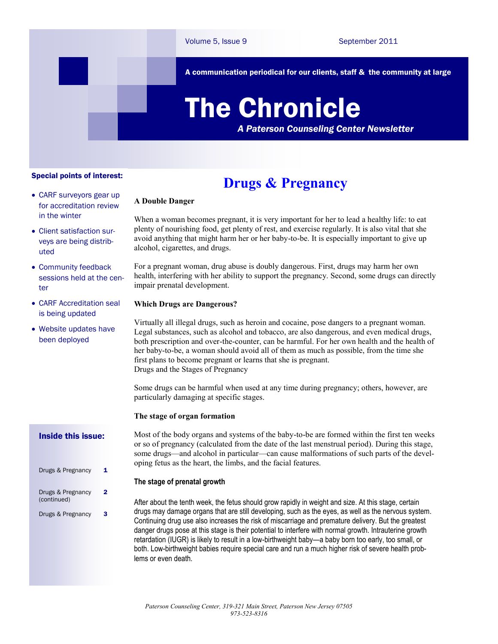A communication periodical for our clients, staff & the community at large

# The Chronicle

*A Paterson Counseling Center Newsletter*

#### Special points of interest:

- CARF surveyors gear up for accreditation review in the winter
- Client satisfaction surveys are being distributed
- Community feedback sessions held at the center
- CARF Accreditation seal is being updated
- Website updates have been deployed

#### Inside this issue:

| Drugs & Pregnancy                | 1. |
|----------------------------------|----|
| Drugs & Pregnancy<br>(continued) | 2  |
| Drugs & Pregnancy                | 3  |

## **Drugs & Pregnancy**

### **A Double Danger**

When a woman becomes pregnant, it is very important for her to lead a healthy life: to eat plenty of nourishing food, get plenty of rest, and exercise regularly. It is also vital that she avoid anything that might harm her or her baby-to-be. It is especially important to give up alcohol, cigarettes, and drugs.

For a pregnant woman, drug abuse is doubly dangerous. First, drugs may harm her own health, interfering with her ability to support the pregnancy. Second, some drugs can directly impair prenatal development.

#### **Which Drugs are Dangerous?**

Virtually all illegal drugs, such as heroin and cocaine, pose dangers to a pregnant woman. Legal substances, such as alcohol and tobacco, are also dangerous, and even medical drugs, both prescription and over-the-counter, can be harmful. For her own health and the health of her baby-to-be, a woman should avoid all of them as much as possible, from the time she first plans to become pregnant or learns that she is pregnant. Drugs and the Stages of Pregnancy

Some drugs can be harmful when used at any time during pregnancy; others, however, are particularly damaging at specific stages.

#### **The stage of organ formation**

Most of the body organs and systems of the baby-to-be are formed within the first ten weeks or so of pregnancy (calculated from the date of the last menstrual period). During this stage, some drugs—and alcohol in particular—can cause malformations of such parts of the developing fetus as the heart, the limbs, and the facial features.

#### **The stage of prenatal growth**

After about the tenth week, the fetus should grow rapidly in weight and size. At this stage, certain drugs may damage organs that are still developing, such as the eyes, as well as the nervous system. Continuing drug use also increases the risk of miscarriage and premature delivery. But the greatest danger drugs pose at this stage is their potential to interfere with normal growth. Intrauterine growth retardation (IUGR) is likely to result in a low-birthweight baby—a baby born too early, too small, or both. Low-birthweight babies require special care and run a much higher risk of severe health problems or even death.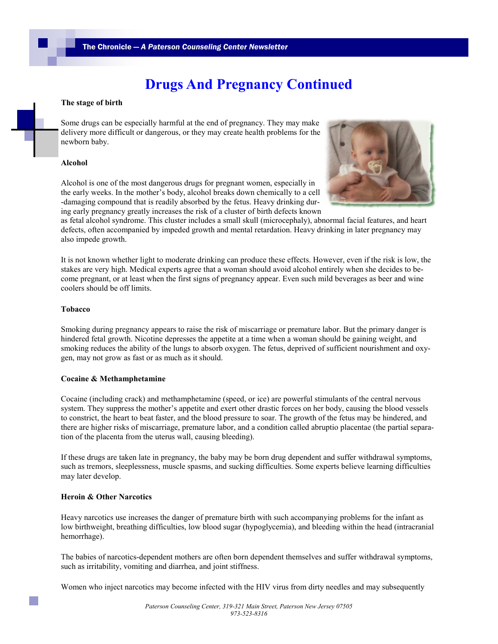## **Drugs And Pregnancy Continued**

#### **The stage of birth**

Some drugs can be especially harmful at the end of pregnancy. They may make delivery more difficult or dangerous, or they may create health problems for the newborn baby.

#### **Alcohol**

Alcohol is one of the most dangerous drugs for pregnant women, especially in the early weeks. In the mother's body, alcohol breaks down chemically to a cell -damaging compound that is readily absorbed by the fetus. Heavy drinking during early pregnancy greatly increases the risk of a cluster of birth defects known



as fetal alcohol syndrome. This cluster includes a small skull (microcephaly), abnormal facial features, and heart defects, often accompanied by impeded growth and mental retardation. Heavy drinking in later pregnancy may also impede growth.

It is not known whether light to moderate drinking can produce these effects. However, even if the risk is low, the stakes are very high. Medical experts agree that a woman should avoid alcohol entirely when she decides to become pregnant, or at least when the first signs of pregnancy appear. Even such mild beverages as beer and wine coolers should be off limits.

#### **Tobacco**

Smoking during pregnancy appears to raise the risk of miscarriage or premature labor. But the primary danger is hindered fetal growth. Nicotine depresses the appetite at a time when a woman should be gaining weight, and smoking reduces the ability of the lungs to absorb oxygen. The fetus, deprived of sufficient nourishment and oxygen, may not grow as fast or as much as it should.

#### **Cocaine & Methamphetamine**

Cocaine (including crack) and methamphetamine (speed, or ice) are powerful stimulants of the central nervous system. They suppress the mother's appetite and exert other drastic forces on her body, causing the blood vessels to constrict, the heart to beat faster, and the blood pressure to soar. The growth of the fetus may be hindered, and there are higher risks of miscarriage, premature labor, and a condition called abruptio placentae (the partial separation of the placenta from the uterus wall, causing bleeding).

If these drugs are taken late in pregnancy, the baby may be born drug dependent and suffer withdrawal symptoms, such as tremors, sleeplessness, muscle spasms, and sucking difficulties. Some experts believe learning difficulties may later develop.

#### **Heroin & Other Narcotics**

Heavy narcotics use increases the danger of premature birth with such accompanying problems for the infant as low birthweight, breathing difficulties, low blood sugar (hypoglycemia), and bleeding within the head (intracranial hemorrhage).

The babies of narcotics-dependent mothers are often born dependent themselves and suffer withdrawal symptoms, such as irritability, vomiting and diarrhea, and joint stiffness.

Women who inject narcotics may become infected with the HIV virus from dirty needles and may subsequently